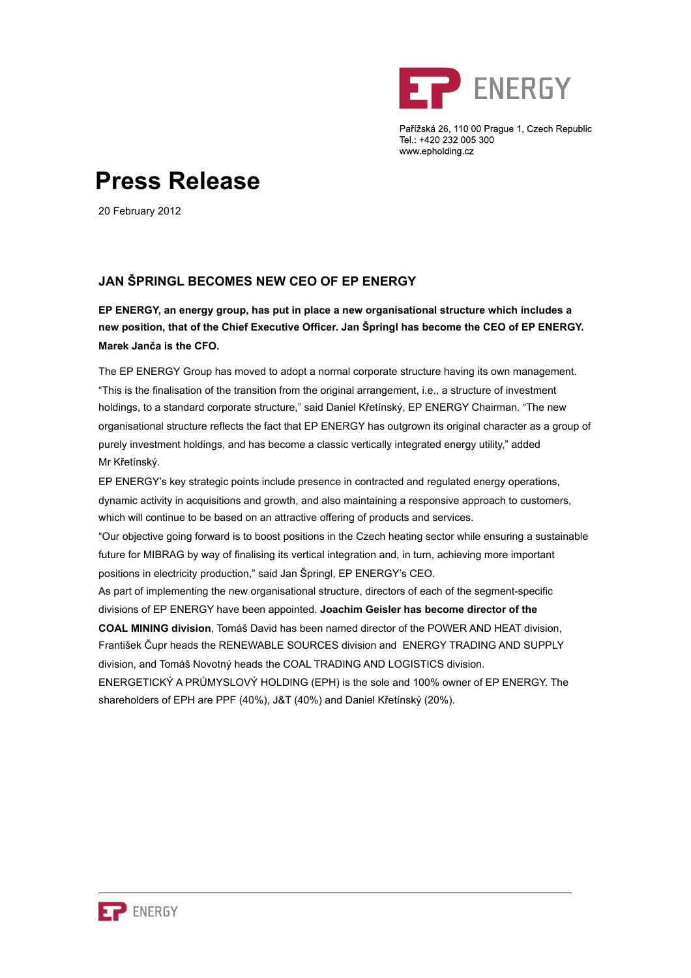

Pařížská 26, 110 00 Prague 1, Czech Republic Tel.: +420 232 005 300 www.epholding.cz

# **Press Release**

20 February 2012

## **JAN ŠPRINGL BECOMES NEW CEO OF EP ENERGY**

**EP ENERGY, an energy group, has put in place a new organisational structure which includes a new position, that of the Chief Executive Officer. Jan Špringl has become the CEO of EP ENERGY. Marek Janča is the CFO.**

The EP ENERGY Group has moved to adopt a normal corporate structure having its own management. "This is the finalisation of the transition from the original arrangement, i.e., a structure of investment holdings, to a standard corporate structure," said Daniel Křetínský, EP ENERGY Chairman. "The new organisational structure reflects the fact that EP ENERGY has outgrown its original character as a group of purely investment holdings, and has become a classic vertically integrated energy utility," added Mr Křetínský.

EP ENERGY's key strategic points include presence in contracted and regulated energy operations, dynamic activity in acquisitions and growth, and also maintaining a responsive approach to customers, which will continue to be based on an attractive offering of products and services.

"Our objective going forward is to boost positions in the Czech heating sector while ensuring a sustainable future for MIBRAG by way of finalising its vertical integration and, in turn, achieving more important positions in electricity production," said Jan Špringl, EP ENERGY's CEO.

As part of implementing the new organisational structure, directors of each of the segment-specific divisions of EP ENERGY have been appointed. **Joachim Geisler has become director of the** 

**COAL MINING division**, Tomáš David has been named director of the POWER AND HEAT division, František Čupr heads the RENEWABLE SOURCES division and ENERGY TRADING AND SUPPLY division, and Tomáš Novotný heads the COAL TRADING AND LOGISTICS division.

ENERGETICKÝ A PRŮMYSLOVÝ HOLDING (EPH) is the sole and 100% owner of EP ENERGY. The shareholders of EPH are PPF (40%), J&T (40%) and Daniel Křetínský (20%).

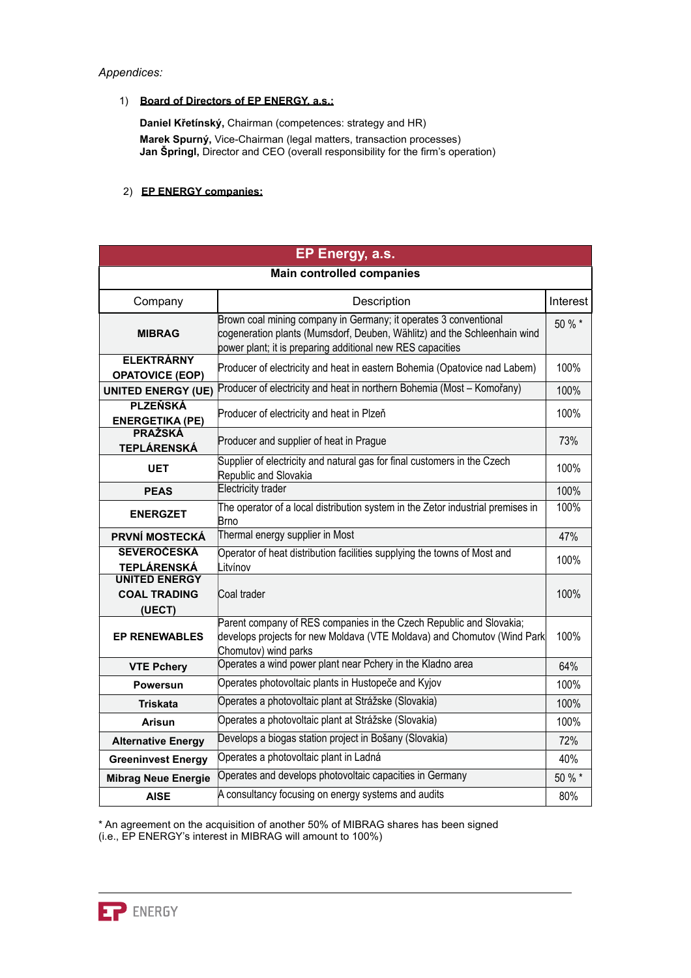#### *Appendices:*

#### 1) **Board of Directors of EP ENERGY, a.s.:**

**Daniel Křetínský,** Chairman (competences: strategy and HR) **Marek Spurný,** Vice-Chairman (legal matters, transaction processes) **Jan Špringl,** Director and CEO (overall responsibility for the firm's operation)

### 2) **EP ENERGY companies:**

| EP Energy, a.s.                                       |                                                                                                                                                                                                            |          |
|-------------------------------------------------------|------------------------------------------------------------------------------------------------------------------------------------------------------------------------------------------------------------|----------|
| <b>Main controlled companies</b>                      |                                                                                                                                                                                                            |          |
| Company                                               | Description                                                                                                                                                                                                | Interest |
| <b>MIBRAG</b>                                         | Brown coal mining company in Germany; it operates 3 conventional<br>cogeneration plants (Mumsdorf, Deuben, Wählitz) and the Schleenhain wind<br>power plant; it is preparing additional new RES capacities | 50 % *   |
| <b>ELEKTRÁRNY</b><br><b>OPATOVICE (EOP)</b>           | Producer of electricity and heat in eastern Bohemia (Opatovice nad Labem)                                                                                                                                  | 100%     |
| <b>UNITED ENERGY (UE)</b>                             | Producer of electricity and heat in northern Bohemia (Most - Komořany)                                                                                                                                     | 100%     |
| <b>PLZEŇSKÁ</b><br><b>ENERGETIKA (PE)</b>             | Producer of electricity and heat in Plzeň                                                                                                                                                                  | 100%     |
| <b>PRAŽSKÁ</b><br><b>TEPLÁRENSKÁ</b>                  | Producer and supplier of heat in Prague                                                                                                                                                                    | 73%      |
| <b>UET</b>                                            | Supplier of electricity and natural gas for final customers in the Czech<br>Republic and Slovakia                                                                                                          | 100%     |
| <b>PEAS</b>                                           | Electricity trader                                                                                                                                                                                         | 100%     |
| <b>ENERGZET</b>                                       | The operator of a local distribution system in the Zetor industrial premises in<br>Brno                                                                                                                    | 100%     |
| <b>PRVNÍ MOSTECKÁ</b>                                 | Thermal energy supplier in Most                                                                                                                                                                            | 47%      |
| <b>SEVEROČESKÁ</b><br><b>TEPLÁRENSKÁ</b>              | Operator of heat distribution facilities supplying the towns of Most and<br>Litvínov                                                                                                                       | 100%     |
| <b>UNITED ENERGY</b><br><b>COAL TRADING</b><br>(UECT) | Coal trader                                                                                                                                                                                                | 100%     |
| <b>EP RENEWABLES</b>                                  | Parent company of RES companies in the Czech Republic and Slovakia;<br>develops projects for new Moldava (VTE Moldava) and Chomutov (Wind Park<br>Chomutov) wind parks                                     | 100%     |
| <b>VTE Pchery</b>                                     | Operates a wind power plant near Pchery in the Kladno area                                                                                                                                                 | 64%      |
| <b>Powersun</b>                                       | Operates photovoltaic plants in Hustopeče and Kyjov                                                                                                                                                        | 100%     |
| <b>Triskata</b>                                       | Operates a photovoltaic plant at Strážske (Slovakia)                                                                                                                                                       | 100%     |
| <b>Arisun</b>                                         | Operates a photovoltaic plant at Strážske (Slovakia)                                                                                                                                                       | 100%     |
| <b>Alternative Energy</b>                             | Develops a biogas station project in Bošany (Slovakia)                                                                                                                                                     | 72%      |
| <b>Greeninvest Energy</b>                             | Operates a photovoltaic plant in Ladná                                                                                                                                                                     | 40%      |
| <b>Mibrag Neue Energie</b>                            | Operates and develops photovoltaic capacities in Germany                                                                                                                                                   | 50 % *   |
| <b>AISE</b>                                           | A consultancy focusing on energy systems and audits                                                                                                                                                        | 80%      |

\* An agreement on the acquisition of another 50% of MIBRAG shares has been signed

(i.e., EP ENERGY's interest in MIBRAG will amount to 100%)